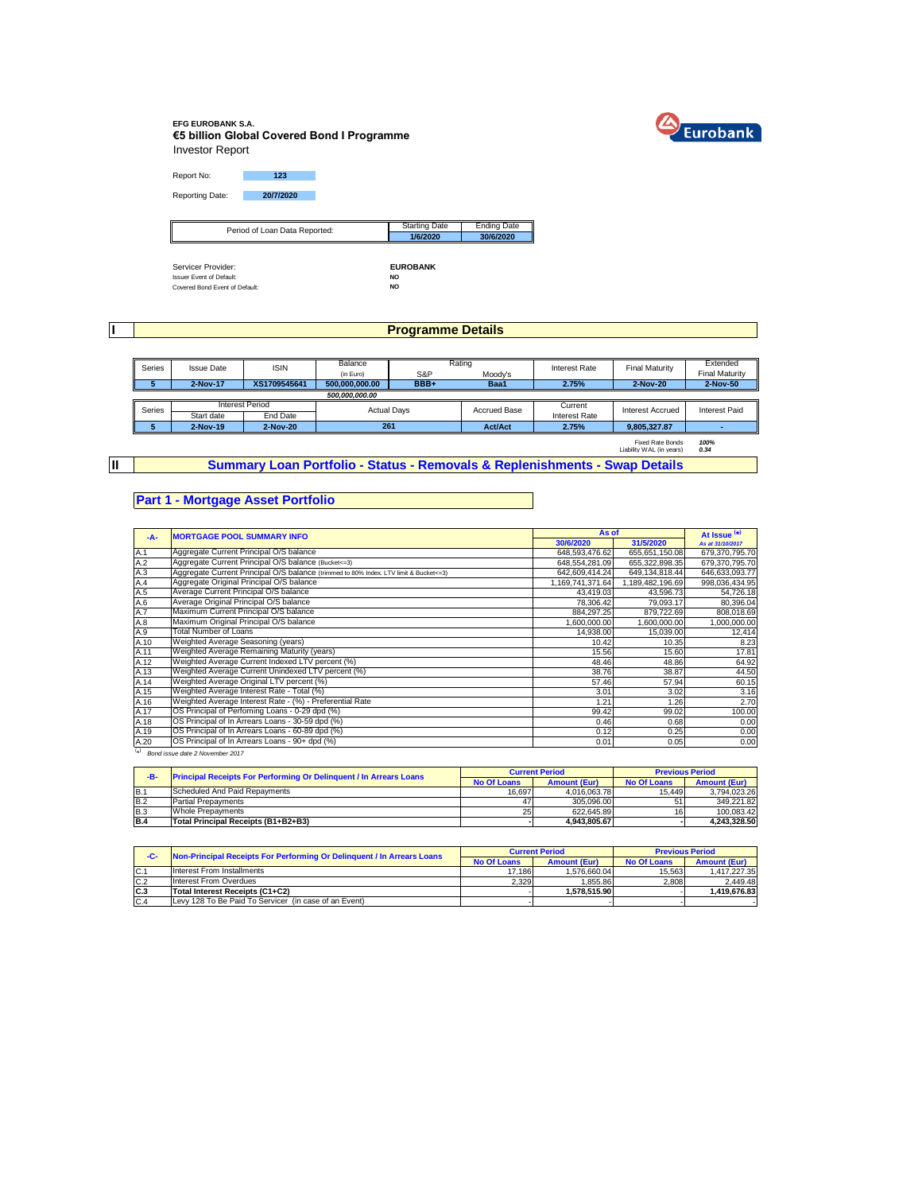

### **EFG EUROBANK S.A. €5 billion Global Covered Bond I Programme** Investor Report

Report No: **123** Reporting Date: **20/7/2020**

| Period of Loan Data Reported:   | <b>Starting Date</b> | <b>Ending Date</b> |
|---------------------------------|----------------------|--------------------|
| ∥                               | 1/6/2020             | 30/6/2020          |
|                                 |                      |                    |
|                                 |                      |                    |
| Servicer Provider:              | <b>EUROBANK</b>      |                    |
| <b>Issuer Event of Default:</b> | <b>NO</b>            |                    |
| Covered Bond Event of Default:  | NO                   |                    |

**I**

**II**

# **Programme Details**

| Series | <b>Issue Date</b> | <b>ISIN</b>            | Balance            |      | Rating              | <b>Interest Rate</b> | <b>Final Maturity</b>                               | Extended              |
|--------|-------------------|------------------------|--------------------|------|---------------------|----------------------|-----------------------------------------------------|-----------------------|
|        |                   |                        | (in Euro)          | S&P  | Moody's             |                      |                                                     | <b>Final Maturity</b> |
|        | 2-Nov-17          | XS1709545641           | 500,000,000.00     | BBB+ | Baa1                | 2.75%                | 2-Nov-20                                            | 2-Nov-50              |
|        |                   |                        | 500.000.000.00     |      |                     |                      |                                                     |                       |
| Series |                   | <b>Interest Period</b> | <b>Actual Davs</b> |      | <b>Accrued Base</b> | Current              | <b>Interest Accrued</b>                             | Interest Paid         |
|        | Start date        | End Date               |                    |      |                     | Interest Rate        |                                                     |                       |
| 5      | 2-Nov-19          | 2-Nov-20               | 261                |      | <b>Act/Act</b>      | 2.75%                | 9.805.327.87                                        |                       |
|        |                   |                        |                    |      |                     |                      | <b>Fixed Rate Bonds</b><br>Liability WAL (in years) | 100%<br>0.34          |

**Summary Loan Portfolio - Status - Removals & Replenishments - Swap Details**

## **Part 1 - Mortgage Asset Portfolio**

| $-A-$     | <b>MORTGAGE POOL SUMMARY INFO</b>                                                       | As of            |                 | At Issue <sup>(*)</sup> |
|-----------|-----------------------------------------------------------------------------------------|------------------|-----------------|-------------------------|
|           |                                                                                         | 30/6/2020        | 31/5/2020       | As at 31/10/2017        |
| A.1       | Aggregate Current Principal O/S balance                                                 | 648,593,476.62   | 655,651,150.08  | 679,370,795.70          |
| A.2       | Aggregate Current Principal O/S balance (Bucket<=3)                                     | 648.554.281.09   | 655.322.898.35  | 679.370.795.70          |
| A.3       | Aggregate Current Principal O/S balance (trimmed to 80% Index. LTV limit & Bucket <= 3) | 642,609,414.24   | 649,134,818.44  | 646,633,093.77          |
| A.4       | Aggregate Original Principal O/S balance                                                | 1,169,741,371.64 | ,189,482,196.69 | 998,036,434.95          |
| A.5       | Average Current Principal O/S balance                                                   | 43,419.03        | 43,596.73       | 54,726.18               |
| A.6       | Average Original Principal O/S balance                                                  | 78,306.42        | 79.093.17       | 80,396.04               |
| A.7       | Maximum Current Principal O/S balance                                                   | 884,297.25       | 879,722.69      | 808,018.69              |
| A.8       | Maximum Original Principal O/S balance                                                  | 1,600,000.00     | 1,600,000.00    | 1,000,000.00            |
| A.9       | <b>Total Number of Loans</b>                                                            | 14.938.00        | 15,039.00       | 12,414                  |
| A.10      | Weighted Average Seasoning (years)                                                      | 10.42            | 10.35           | 8.23                    |
| A.11      | Weighted Average Remaining Maturity (years)                                             | 15.56            | 15.60           | 17.81                   |
| A.12      | Weighted Average Current Indexed LTV percent (%)                                        | 48.46            | 48.86           | 64.92                   |
| A.13      | Weighted Average Current Unindexed LTV percent (%)                                      | 38.76            | 38.87           | 44.50                   |
| A.14      | Weighted Average Original LTV percent (%)                                               | 57.46            | 57.94           | 60.15                   |
| A.15      | Weighted Average Interest Rate - Total (%)                                              | 3.01             | 3.02            | 3.16                    |
| A.16      | Weighted Average Interest Rate - (%) - Preferential Rate                                | 1.21             | 1.26            | 2.70                    |
| A.17      | OS Principal of Perfoming Loans - 0-29 dpd (%)                                          | 99.42            | 99.02           | 100.00                  |
| A.18      | OS Principal of In Arrears Loans - 30-59 dpd (%)                                        | 0.46             | 0.68            | 0.00                    |
| A.19      | OS Principal of In Arrears Loans - 60-89 dpd (%)                                        | 0.12             | 0.25            | 0.00                    |
| A.20      | OS Principal of In Arrears Loans - 90+ dpd (%)                                          | 0.01             | 0.05            | 0.00                    |
| $(\star)$ | Bond issue date 2 November 2017                                                         |                  |                 |                         |

| -B-        | <b>Principal Receipts For Performing Or Delinquent / In Arrears Loans</b> |                    | <b>Current Period</b> |             | <b>Previous Period</b> |
|------------|---------------------------------------------------------------------------|--------------------|-----------------------|-------------|------------------------|
|            |                                                                           | <b>No Of Loans</b> | <b>Amount (Eur)</b>   | No Of Loans | <b>Amount (Eur)</b>    |
| B.1        | Scheduled And Paid Repayments                                             | 16.697             | 4.016.063.78          | 15.449      | 3.794.023.26           |
| B.2        | <b>Partial Prepayments</b>                                                |                    | 305.096.00            | 51          | 349.221.82             |
| <b>B.3</b> | <b>Whole Prepayments</b>                                                  | 25 <sub>1</sub>    | 622.645.89            | 16          | 100.083.42             |
| <b>B.4</b> | Total Principal Receipts (B1+B2+B3)                                       |                    | 4.943.805.67          |             | 4.243.328.50           |

| -C-            | Non-Principal Receipts For Performing Or Delinquent / In Arrears Loans |                    | <b>Current Period</b> | <b>Previous Period</b> |                     |  |
|----------------|------------------------------------------------------------------------|--------------------|-----------------------|------------------------|---------------------|--|
|                |                                                                        | <b>No Of Loans</b> | <b>Amount (Eur)</b>   | No Of Loans            | <b>Amount (Eur)</b> |  |
| IC.            | Interest From Installments                                             | 17.186             | 1.576.660.04          | 15.563                 | 1.417.227.35        |  |
| C.2            | Interest From Overdues                                                 | 2.329              | 1.855.86              | 2.808                  | 2.449.48            |  |
| C <sub>3</sub> | Total Interest Receipts (C1+C2)                                        |                    | 1.578.515.90          |                        | .419.676.83         |  |
| C.4            | Levy 128 To Be Paid To Servicer (in case of an Event)                  |                    |                       |                        |                     |  |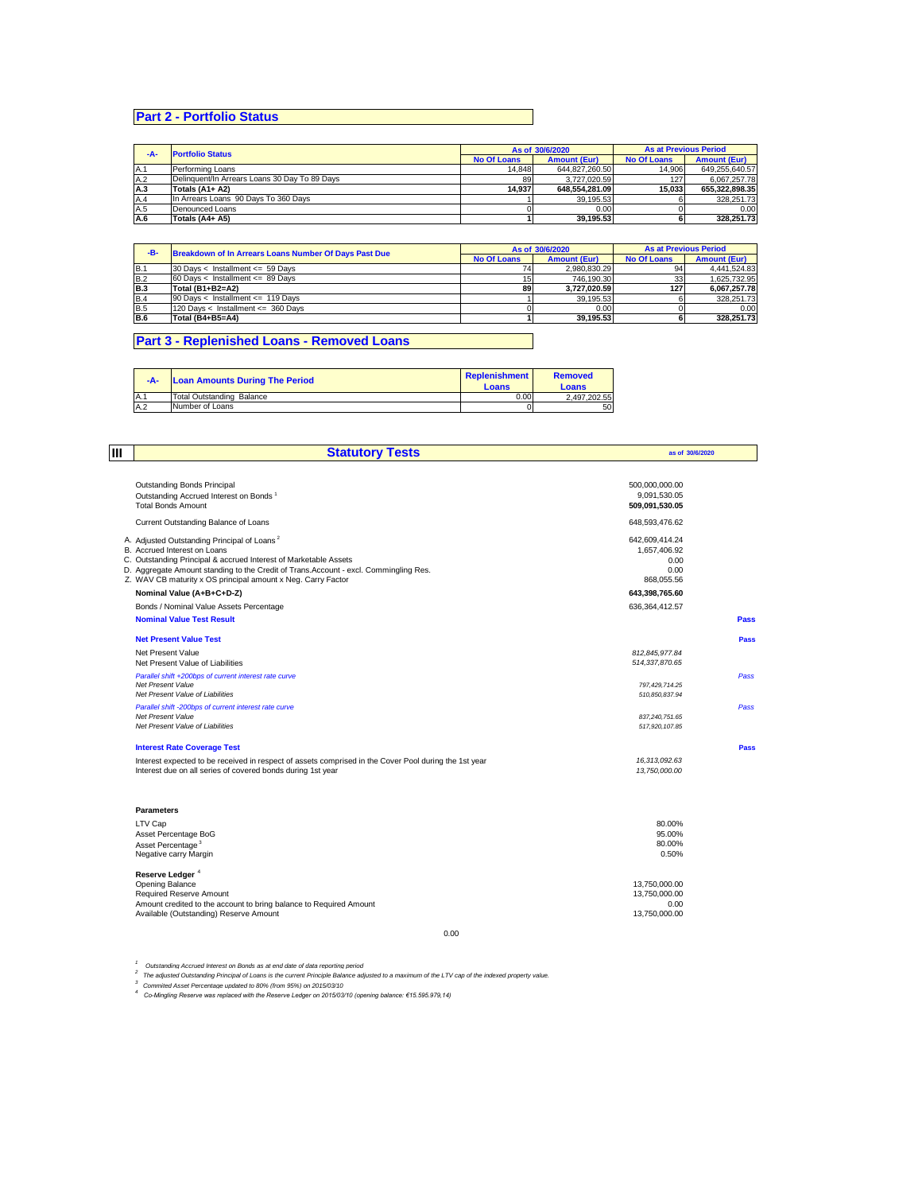# **Part 2 - Portfolio Status**

|     | <b>Portfolio Status</b><br>-A-                |                    | As of 30/6/2020     | <b>As at Previous Period</b> |                     |
|-----|-----------------------------------------------|--------------------|---------------------|------------------------------|---------------------|
|     |                                               | <b>No Of Loans</b> | <b>Amount (Eur)</b> | <b>No Of Loans</b>           | <b>Amount (Eur)</b> |
| A.1 | Performing Loans                              | 14.848             | 644.827.260.50      | 14.906                       | 649.255.640.57      |
| A.2 | Delinguent/In Arrears Loans 30 Day To 89 Days | 89                 | 3.727.020.59        | 127                          | 6.067.257.78        |
| A.3 | Totals (A1+ A2)                               | 14.937             | 648.554.281.09      | 15.033                       | 655.322.898.35      |
| A.4 | In Arrears Loans 90 Days To 360 Days          |                    | 39.195.53           |                              | 328.251.73          |
| A.5 | Denounced Loans                               |                    | 0.00                |                              | 0.00                |
| A.6 | Totals (A4+ A5)                               |                    | 39.195.53           |                              | 328.251.73          |

|            | -B-<br><b>Breakdown of In Arrears Loans Number Of Days Past Due</b> |                    | As of 30/6/2020     | <b>As at Previous Period</b> |                     |
|------------|---------------------------------------------------------------------|--------------------|---------------------|------------------------------|---------------------|
|            |                                                                     | <b>No Of Loans</b> | <b>Amount (Eur)</b> | <b>No Of Loans</b>           | <b>Amount (Eur)</b> |
| IB.        | $30$ Days < Installment <= 59 Days                                  |                    | 2.980.830.29        | 94                           | 4.441.524.83        |
| <b>B.2</b> | $60$ Davs < Installment <= 89 Davs                                  |                    | 746.190.30          | 33                           | 1.625.732.95        |
| <b>B.3</b> | Total (B1+B2=A2)                                                    | 89                 | 3.727.020.59        | 127                          | 6.067.257.78        |
| <b>B.4</b> | 90 Days < Installment <= 119 Days                                   |                    | 39.195.53           |                              | 328.251.73          |
| <b>B.5</b> | 120 Days < Installment <= 360 Days                                  |                    | 0.00                |                              | 0.00                |
| <b>B.6</b> | Total (B4+B5=A4)                                                    |                    | 39.195.53           |                              | 328.251.73          |

## **Part 3 - Replenished Loans - Removed Loans**

| $-A-$ | <b>Loan Amounts During The Period</b> | Replenishment<br>Loans | <b>Removed</b><br>Loans |
|-------|---------------------------------------|------------------------|-------------------------|
| A.1   | Total Outstanding Balance             | 0.00                   | 2.497.202.55            |
| A.2   | Number of Loans                       |                        | 50                      |

| lш | <b>Statutory Tests</b>                                                                                                                                                                                                                                                                                              |                                                              | as of 30/6/2020 |  |
|----|---------------------------------------------------------------------------------------------------------------------------------------------------------------------------------------------------------------------------------------------------------------------------------------------------------------------|--------------------------------------------------------------|-----------------|--|
|    | <b>Outstanding Bonds Principal</b><br>Outstanding Accrued Interest on Bonds <sup>1</sup><br><b>Total Bonds Amount</b>                                                                                                                                                                                               | 500.000.000.00<br>9,091,530.05<br>509,091,530.05             |                 |  |
|    | Current Outstanding Balance of Loans                                                                                                                                                                                                                                                                                | 648,593,476.62                                               |                 |  |
|    | A. Adjusted Outstanding Principal of Loans <sup>2</sup><br>B. Accrued Interest on Loans<br>C. Outstanding Principal & accrued Interest of Marketable Assets<br>D. Aggregate Amount standing to the Credit of Trans.Account - excl. Commingling Res.<br>Z. WAV CB maturity x OS principal amount x Neg. Carry Factor | 642,609,414.24<br>1,657,406.92<br>0.00<br>0.00<br>868,055.56 |                 |  |
|    | Nominal Value (A+B+C+D-Z)                                                                                                                                                                                                                                                                                           | 643,398,765.60                                               |                 |  |
|    | Bonds / Nominal Value Assets Percentage                                                                                                                                                                                                                                                                             | 636, 364, 412.57                                             |                 |  |
|    | <b>Nominal Value Test Result</b>                                                                                                                                                                                                                                                                                    |                                                              | Pass            |  |
|    | <b>Net Present Value Test</b>                                                                                                                                                                                                                                                                                       |                                                              | Pass            |  |
|    | Net Present Value<br>Net Present Value of Liabilities                                                                                                                                                                                                                                                               | 812.845.977.84<br>514,337,870.65                             |                 |  |
|    | Parallel shift +200bps of current interest rate curve<br>Net Present Value<br>Net Present Value of Liabilities                                                                                                                                                                                                      | 797.429.714.25<br>510.850.837.94                             | Pass            |  |
|    | Parallel shift -200bps of current interest rate curve<br>Net Present Value<br>Net Present Value of Liabilities                                                                                                                                                                                                      | 837.240.751.65<br>517,920,107.85                             | Pass            |  |
|    | <b>Interest Rate Coverage Test</b>                                                                                                                                                                                                                                                                                  |                                                              | Pass            |  |
|    | Interest expected to be received in respect of assets comprised in the Cover Pool during the 1st year<br>Interest due on all series of covered bonds during 1st year                                                                                                                                                | 16.313.092.63<br>13,750,000,00                               |                 |  |
|    | <b>Parameters</b>                                                                                                                                                                                                                                                                                                   |                                                              |                 |  |
|    | LTV Cap<br>Asset Percentage BoG                                                                                                                                                                                                                                                                                     | 80.00%<br>95.00%                                             |                 |  |
|    | Asset Percentage <sup>3</sup><br>Negative carry Margin                                                                                                                                                                                                                                                              | 80.00%<br>0.50%                                              |                 |  |
|    | Reserve Ledger <sup>4</sup><br>Opening Balance<br>Required Reserve Amount<br>Amount credited to the account to bring balance to Required Amount                                                                                                                                                                     | 13,750,000.00<br>13,750,000.00<br>0.00                       |                 |  |
|    | Available (Outstanding) Reserve Amount                                                                                                                                                                                                                                                                              | 13.750.000.00                                                |                 |  |

0.00

<sup>1</sup> Outstanding Accrued Interest on Bonds as at end date of data reporting period<br><sup>2</sup> The adjusted Outstanding Principal of Loans is the current Principle Balance adjusted to a maximum of the LTV cap of the indexed propert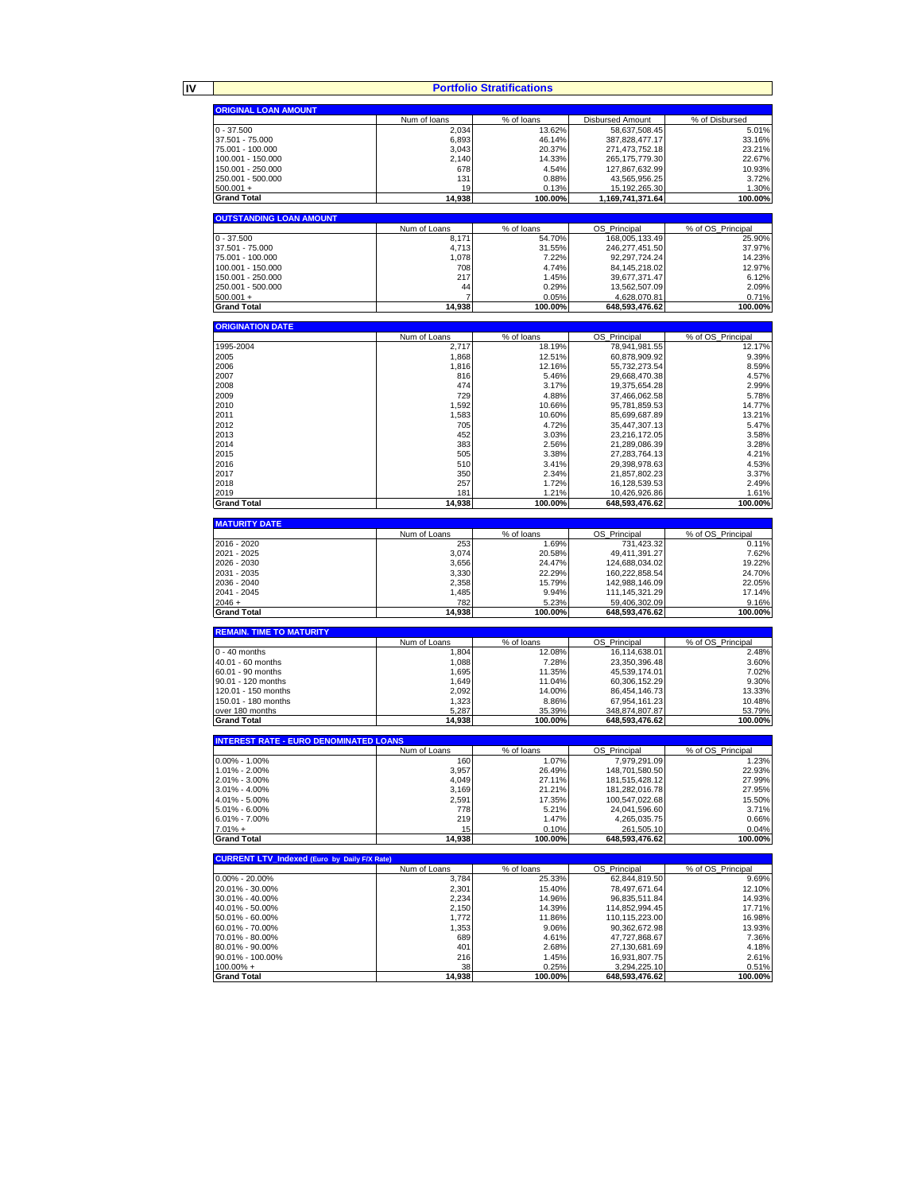**IV**

**Portfolio Stratifications**

|                                                     |                       | Portfolio Stratifications |                                     |                             |
|-----------------------------------------------------|-----------------------|---------------------------|-------------------------------------|-----------------------------|
| <b>ORIGINAL LOAN AMOUNT</b>                         |                       |                           |                                     |                             |
|                                                     | Num of loans          | % of loans                | <b>Disbursed Amount</b>             | % of Disbursed              |
| $0 - 37.500$                                        | 2,034                 | 13.62%                    | 58,637,508.45                       | 5.01%                       |
| 37.501 - 75.000                                     | 6,893                 | 46.14%                    | 387,828,477.17                      | 33.16%                      |
| 75.001 - 100.000<br>100.001 - 150.000               | 3,043<br>2,140        | 20.37%<br>14.33%          | 271,473,752.18<br>265, 175, 779.30  | 23.21%<br>22.67%            |
| 150.001 - 250.000                                   | 678                   | 4.54%                     | 127,867,632.99                      | 10.93%                      |
| 250.001 - 500.000                                   | 131                   | 0.88%                     | 43,565,956.25                       | 3.72%                       |
| $500.001 +$                                         | 19                    | 0.13%                     | 15, 192, 265. 30                    | 1.30%                       |
| <b>Grand Total</b>                                  | 14,938                | 100.00%                   | 1,169,741,371.64                    | 100.00%                     |
|                                                     |                       |                           |                                     |                             |
| <b>OUTSTANDING LOAN AMOUNT</b>                      |                       |                           |                                     |                             |
| $0 - 37.500$                                        | Num of Loans<br>8,171 | % of loans<br>54.70%      | OS_Principal                        | % of OS_Principal<br>25.90% |
| 37.501 - 75.000                                     | 4,713                 | 31.55%                    | 168,005,133.49<br>246,277,451.50    | 37.97%                      |
| 75.001 - 100.000                                    | 1,078                 | 7.22%                     | 92,297,724.24                       | 14.23%                      |
| 100.001 - 150.000                                   | 708                   | 4.74%                     | 84, 145, 218.02                     | 12.97%                      |
| 150.001 - 250.000                                   | 217                   | 1.45%                     | 39,677,371.47                       | 6.12%                       |
| 250.001 - 500.000                                   | 44                    | 0.29%                     | 13,562,507.09                       | 2.09%                       |
| $500.001 +$                                         | 7                     | 0.05%                     | 4,628,070.81                        | 0.71%                       |
| <b>Grand Total</b>                                  | 14,938                | 100.00%                   | 648,593,476.62                      | 100.00%                     |
| <b>ORIGINATION DATE</b>                             |                       |                           |                                     |                             |
|                                                     | Num of Loans          | % of loans                | OS_Principal                        | % of OS_Principal           |
| 1995-2004                                           | 2,717                 | 18.19%                    | 78,941,981.55                       | 12.17%                      |
| 2005                                                | 1,868                 | 12.51%                    | 60,878,909.92                       | 9.39%                       |
| 2006                                                | 1,816                 | 12.16%                    | 55,732,273.54                       | 8.59%                       |
| 2007                                                | 816                   | 5.46%                     | 29,668,470.38                       | 4.57%                       |
| 2008                                                | 474                   | 3.17%                     | 19,375,654.28                       | 2.99%                       |
| 2009                                                | 729                   | 4.88%                     | 37,466,062.58                       | 5.78%                       |
| 2010                                                | 1,592                 | 10.66%                    | 95,781,859.53                       | 14.77%                      |
| 2011<br>2012                                        | 1,583<br>705          | 10.60%<br>4.72%           | 85,699,687.89<br>35,447,307.13      | 13.21%<br>5.47%             |
| 2013                                                | 452                   | 3.03%                     | 23,216,172.05                       | 3.58%                       |
| 2014                                                | 383                   | 2.56%                     | 21,289,086.39                       | 3.28%                       |
| 2015                                                | 505                   | 3.38%                     | 27,283,764.13                       | 4.21%                       |
| 2016                                                | 510                   | 3.41%                     | 29,398,978.63                       | 4.53%                       |
| 2017                                                | 350                   | 2.34%                     | 21,857,802.23                       | 3.37%                       |
| 2018                                                | 257                   | 1.72%                     | 16,128,539.53                       | 2.49%                       |
| 2019                                                | 181                   | 1.21%                     | 10,426,926.86                       | 1.61%                       |
| <b>Grand Total</b>                                  | 14,938                | 100.00%                   | 648,593,476.62                      | 100.00%                     |
| <b>MATURITY DATE</b>                                |                       |                           |                                     |                             |
|                                                     | Num of Loans          | % of loans                | OS Principal                        | % of OS Principal           |
| 2016 - 2020                                         | 253                   | 1.69%                     | 731,423.32                          | 0.11%                       |
| 2021 - 2025                                         | 3,074                 | 20.58%                    | 49,411,391.27                       | 7.62%                       |
| 2026 - 2030                                         | 3,656                 | 24.47%                    | 124,688,034.02                      | 19.22%                      |
| 2031 - 2035<br>2036 - 2040                          | 3,330<br>2,358        | 22.29%                    | 160,222,858.54                      | 24.70%<br>22.05%            |
| 2041 - 2045                                         | 1,485                 | 15.79%<br>9.94%           | 142,988,146.09<br>111, 145, 321. 29 | 17.14%                      |
| $2046 +$                                            | 782                   | 5.23%                     | 59,406,302.09                       | 9.16%                       |
| <b>Grand Total</b>                                  | 14,938                | 100.00%                   | 648,593,476.62                      | 100.00%                     |
|                                                     |                       |                           |                                     |                             |
| <b>REMAIN. TIME TO MATURITY</b>                     |                       |                           |                                     |                             |
| $0 - 40$ months                                     | Num of Loans<br>1,804 | % of loans<br>12.08%      | OS Principal<br>16,114,638.01       | % of OS Principal<br>2.48%  |
| 40.01 - 60 months                                   | 1,088                 | 7.28%                     | 23,350,396.48                       | 3.60%                       |
| 60.01 - 90 months                                   | 1,695                 | 11.35%                    | 45,539,174.01                       | 7.02%                       |
| 90.01 - 120 months                                  | 1,649                 | 11.04%                    | 60,306,152.29                       | 9.30%                       |
| 120.01 - 150 months                                 | 2,092                 | 14.00%                    | 86,454,146.73                       | 13.33%                      |
| 150.01 - 180 months                                 | 1,323                 | 8.86%                     | 67,954,161.23                       | 10.48%                      |
| over 180 months<br><b>Grand Total</b>               | 5,287                 | 35.39%                    | <u>348,874,807.87</u>               | 53.79%                      |
|                                                     | 14,938                | 100.00%                   | 648,593,476.62                      | 100.00%                     |
| <b>INTEREST RATE - EURO DENOMINATED LOANS</b>       |                       |                           |                                     |                             |
|                                                     | Num of Loans          | % of loans                | OS Principal                        | % of OS Principal           |
| $0.00\% - 1.00\%$                                   | 160                   | 1.07%                     | 7,979,291.09                        | 1.23%                       |
| 1.01% - 2.00%                                       | 3,957                 | 26.49%                    | 148,701,580.50                      | 22.93%                      |
| 2.01% - 3.00%                                       | 4,049                 | 27.11%                    | 181,515,428.12                      | 27.99%                      |
| 3.01% - 4.00%<br>4.01% - 5.00%                      | 3,169<br>2,591        | 21.21%<br>17.35%          | 181,282,016.78<br>100,547,022.68    | 27.95%<br>15.50%            |
| 5.01% - 6.00%                                       | 778                   | 5.21%                     | 24,041,596.60                       | 3.71%                       |
| 6.01% - 7.00%                                       | 219                   | 1.47%                     | 4,265,035.75                        | 0.66%                       |
| $7.01% +$                                           | 15                    | 0.10%                     | 261,505.10                          | 0.04%                       |
| <b>Grand Total</b>                                  | 14,938                | 100.00%                   | 648,593,476.62                      | 100.00%                     |
|                                                     |                       |                           |                                     |                             |
| <b>CURRENT LTV Indexed (Euro by Daily F/X Rate)</b> | Num of Loans          | % of loans                | OS_Principal                        | % of OS_Principal           |
| $0.00\% - 20.00\%$                                  | 3,784                 | 25.33%                    | 62,844,819.50                       | 9.69%                       |
| 20.01% - 30.00%                                     | 2,301                 | 15.40%                    | 78,497,671.64                       | 12.10%                      |
| 30.01% - 40.00%                                     | 2,234                 | 14.96%                    | 96,835,511.84                       | 14.93%                      |
| 40.01% - 50.00%                                     | 2,150                 | 14.39%                    | 114,852,994.45                      | 17.71%                      |
| 50.01% - 60.00%                                     | 1,772                 | 11.86%                    | 110,115,223.00                      | 16.98%                      |
| 60.01% - 70.00%                                     | 1,353                 | 9.06%                     | 90.362.672.98                       | 13.93%                      |
| 70.01% - 80.00%                                     | 689                   | 4.61%                     | 47,727,868.67                       | 7.36%                       |
| 80.01% - 90.00%<br>90.01% - 100.00%                 | 401<br>216            | 2.68%                     | 27,130,681.69<br>16,931,807.75      | 4.18%<br>2.61%              |
| $100.00\%$ +                                        | 38                    | 1.45%<br>0.25%            | 3,294,225.10                        | 0.51%                       |
|                                                     |                       |                           | 648,593,476.62                      | 100.00%                     |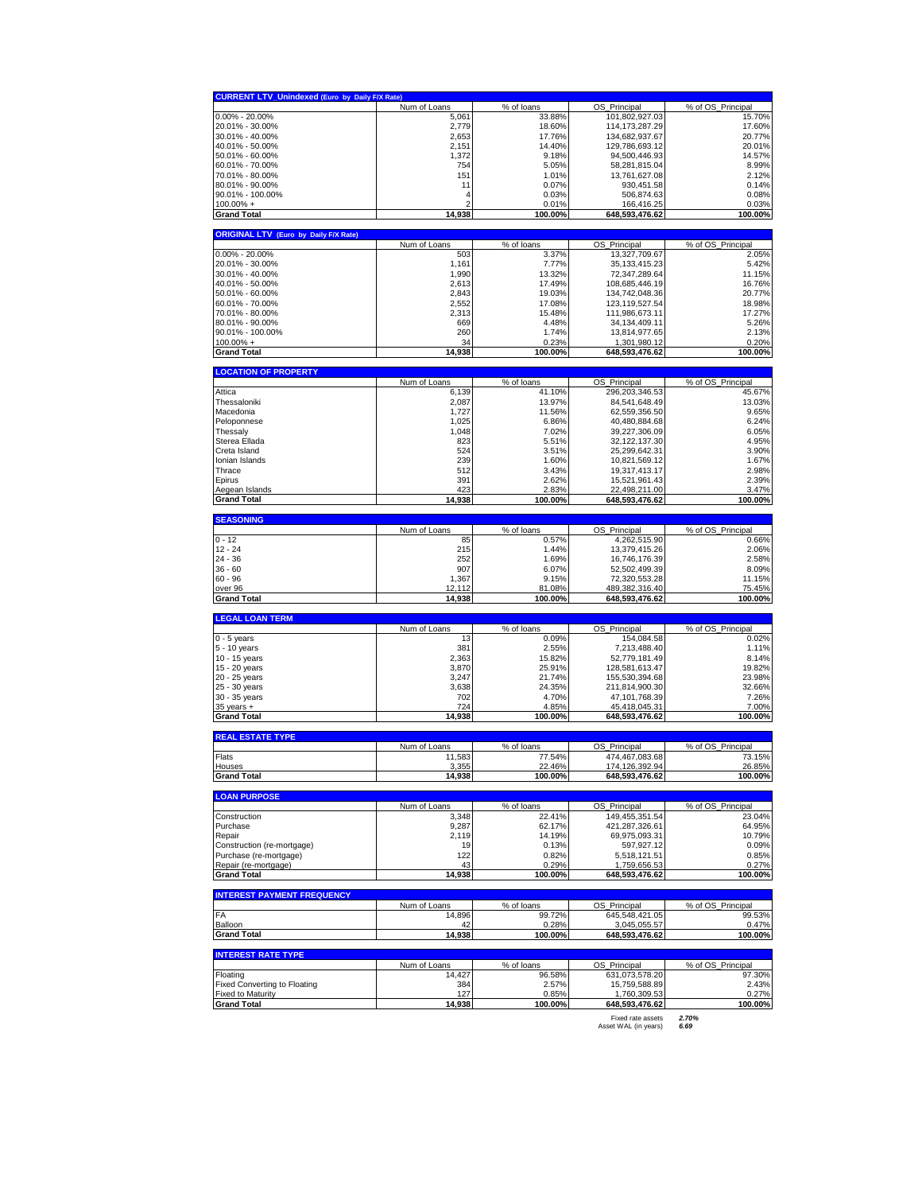| Num of Loans<br>% of loans<br>OS Principal<br>% of OS Principal<br>$0.00\% - 20.00\%$<br>5,061<br>33.88%<br>101,802,927.03<br>15.70%<br>17.60%<br>2,779<br>18.60%<br>114,173,287.29<br>2,653<br>17.76%<br>134,682,937.67<br>20.77%<br>20.01%<br>2,151<br>14.40%<br>129,786,693.12<br>94,500,446.93<br>14.57%<br>1,372<br>9.18%<br>754<br>5.05%<br>58,281,815.04<br>151<br>13,761,627.08<br>1.01%<br>11<br>0.07%<br>930,451.58<br>4<br>0.03%<br>506,874.63<br>0.01%<br>166,416.25<br>100.00%<br>648,593,476.62<br>100.00%<br>14,938<br>Num of Loans<br>% of loans<br>OS_Principal<br>% of OS_Principal<br>503<br>3.37%<br>13,327,709.67<br>1,161<br>7.77%<br>35, 133, 415. 23<br>1,990<br>13.32%<br>72,347,289.64<br>11.15%<br>2,613<br>17.49%<br>16.76%<br>108,685,446.19<br>2,843<br>19.03%<br>134,742,048.36<br>20.77%<br>2,552<br>17.08%<br>123,119,527.54<br>18.98%<br>2,313<br>15.48%<br>111,986,673.11<br>17.27%<br>669<br>4.48%<br>34, 134, 409. 11<br>260<br>1.74%<br>13,814,977.65<br>0.20%<br>34<br>0.23%<br>1,301,980.12<br>14,938<br>100.00%<br>648,593,476.62<br>100.00%<br>% of OS_Principal<br>Num of Loans<br>% of loans<br>OS Principal<br>6,139<br>41.10%<br>296,203,346.53<br>45.67%<br>2,087<br>13.97%<br>84,541,648.49<br>13.03%<br>1,727<br>11.56%<br>62,559,356.50<br>1,025<br>6.86%<br>40,480,884.68<br>1,048<br>7.02%<br>39,227,306.09<br>823<br>5.51%<br>32, 122, 137.30<br>524<br>3.51%<br>25,299,642.31<br>239<br>1.60%<br>10,821,569.12<br>512<br>3.43%<br>19,317,413.17<br>391<br>2.62%<br>15,521,961.43<br>423<br>2.83%<br>22,498,211.00<br>100.00%<br>14,938<br>100.00%<br>648,593,476.62<br>Num of Loans<br>% of loans<br>OS Principal<br>% of OS_Principal<br>4,262,515.90<br>85<br>0.57%<br>215<br>1.44%<br>13,379,415.26<br>252<br>1.69%<br>16,746,176.39<br>907<br>6.07%<br>52,502,499.39<br>1,367<br>9.15%<br>72,320,553.28<br>11.15%<br>489,382,316.40<br>75.45%<br>12,112<br>81.08%<br>14,938<br>100.00%<br>648,593,476.62<br>100.00%<br>% of OS_Principal<br>Num of Loans<br>% of loans<br>OS_Principal<br>13<br>0.09%<br>154,084.58<br>381<br>2.55%<br>7,213,488.40<br>2,363<br>15.82%<br>52,779,181.49<br>19.82%<br>3,870<br>25.91%<br>128,581,613.47<br>3,247<br>21.74%<br>155,530,394.68<br>23.98%<br>3,638<br>24.35%<br>211,814,900.30<br>32.66%<br>702<br>4.70%<br>47,101,768.39<br>7.26%<br>4.85%<br>45,418,045.31<br>724<br>100.00%<br>14,938<br>100.00%<br>648,593,476.62<br>Num of Loans<br>% of loans<br>OS Principal<br>% of OS Principal<br>11,583<br>77.54%<br>474,467,083.68<br>73.15%<br>26.85%<br>3.355<br>22.46%<br>174.126.392.94<br>Hous<br>14,938<br>100.00%<br>648,593,476.62<br>100.00%<br>Num of Loans<br>% of OS_Principal<br>% of loans<br>OS_Principal<br>3,348<br>22.41%<br>149,455,351.54<br>23.04%<br>9,287<br>62.17%<br>421,287,326.61<br>64.95%<br>69,975,093.31<br>2,119<br>14.19%<br>10.79%<br>19<br>0.13%<br>597,927.12<br>122<br>0.82%<br>5,518,121.51<br>0.29%<br>0.27%<br>43<br>1,759,656.53<br>14,938<br>100.00%<br>648,593,476.62<br>100.00%<br>Num of Loans<br>% of loans<br>OS_Principal<br>% of OS_Principal<br>14,896<br>99.72%<br>645,548,421.05<br>99.53%<br>3,045,055.57<br>0.47%<br>42<br>0.28%<br>14,938<br>100.00%<br>648,593,476.62<br>100.00% |
|--------------------------------------------------------------------------------------------------------------------------------------------------------------------------------------------------------------------------------------------------------------------------------------------------------------------------------------------------------------------------------------------------------------------------------------------------------------------------------------------------------------------------------------------------------------------------------------------------------------------------------------------------------------------------------------------------------------------------------------------------------------------------------------------------------------------------------------------------------------------------------------------------------------------------------------------------------------------------------------------------------------------------------------------------------------------------------------------------------------------------------------------------------------------------------------------------------------------------------------------------------------------------------------------------------------------------------------------------------------------------------------------------------------------------------------------------------------------------------------------------------------------------------------------------------------------------------------------------------------------------------------------------------------------------------------------------------------------------------------------------------------------------------------------------------------------------------------------------------------------------------------------------------------------------------------------------------------------------------------------------------------------------------------------------------------------------------------------------------------------------------------------------------------------------------------------------------------------------------------------------------------------------------------------------------------------------------------------------------------------------------------------------------------------------------------------------------------------------------------------------------------------------------------------------------------------------------------------------------------------------------------------------------------------------------------------------------------------------------------------------------------------------------------------------------------------------------------------------------------------------------------------------------------------------------------------------------------------------------------------------------------------------------------------------------------------------------------------------------------------------------------------------------------------------------------------------------------------------------------------|
| 20.01% - 30.00%                                                                                                                                                                                                                                                                                                                                                                                                                                                                                                                                                                                                                                                                                                                                                                                                                                                                                                                                                                                                                                                                                                                                                                                                                                                                                                                                                                                                                                                                                                                                                                                                                                                                                                                                                                                                                                                                                                                                                                                                                                                                                                                                                                                                                                                                                                                                                                                                                                                                                                                                                                                                                                                                                                                                                                                                                                                                                                                                                                                                                                                                                                                                                                                                                            |
| 30.01% - 40.00%<br>40.01% - 50.00%<br>50.01% - 60.00%<br>60.01% - 70.00%<br>70.01% - 80.00%<br>80.01% - 90.00%<br>90.01% - 100.00%<br>$100.00\% +$<br><b>Grand Total</b><br><b>ORIGINAL LTV (Euro by Daily F/X Rate)</b><br>$0.00\% - 20.00\%$<br>20.01% - 30.00%<br>30.01% - 40.00%<br>40.01% - 50.00%<br>50.01% - 60.00%<br>60.01% - 70.00%<br>70.01% - 80.00%<br>80.01% - 90.00%<br>90.01% - 100.00%<br>$100.00\% +$<br><b>Grand Total</b><br><b>LOCATION OF PROPERTY</b><br>Attica<br>Thessaloniki                                                                                                                                                                                                                                                                                                                                                                                                                                                                                                                                                                                                                                                                                                                                                                                                                                                                                                                                                                                                                                                                                                                                                                                                                                                                                                                                                                                                                                                                                                                                                                                                                                                                                                                                                                                                                                                                                                                                                                                                                                                                                                                                                                                                                                                                                                                                                                                                                                                                                                                                                                                                                                                                                                                                     |
|                                                                                                                                                                                                                                                                                                                                                                                                                                                                                                                                                                                                                                                                                                                                                                                                                                                                                                                                                                                                                                                                                                                                                                                                                                                                                                                                                                                                                                                                                                                                                                                                                                                                                                                                                                                                                                                                                                                                                                                                                                                                                                                                                                                                                                                                                                                                                                                                                                                                                                                                                                                                                                                                                                                                                                                                                                                                                                                                                                                                                                                                                                                                                                                                                                            |
|                                                                                                                                                                                                                                                                                                                                                                                                                                                                                                                                                                                                                                                                                                                                                                                                                                                                                                                                                                                                                                                                                                                                                                                                                                                                                                                                                                                                                                                                                                                                                                                                                                                                                                                                                                                                                                                                                                                                                                                                                                                                                                                                                                                                                                                                                                                                                                                                                                                                                                                                                                                                                                                                                                                                                                                                                                                                                                                                                                                                                                                                                                                                                                                                                                            |
|                                                                                                                                                                                                                                                                                                                                                                                                                                                                                                                                                                                                                                                                                                                                                                                                                                                                                                                                                                                                                                                                                                                                                                                                                                                                                                                                                                                                                                                                                                                                                                                                                                                                                                                                                                                                                                                                                                                                                                                                                                                                                                                                                                                                                                                                                                                                                                                                                                                                                                                                                                                                                                                                                                                                                                                                                                                                                                                                                                                                                                                                                                                                                                                                                                            |
|                                                                                                                                                                                                                                                                                                                                                                                                                                                                                                                                                                                                                                                                                                                                                                                                                                                                                                                                                                                                                                                                                                                                                                                                                                                                                                                                                                                                                                                                                                                                                                                                                                                                                                                                                                                                                                                                                                                                                                                                                                                                                                                                                                                                                                                                                                                                                                                                                                                                                                                                                                                                                                                                                                                                                                                                                                                                                                                                                                                                                                                                                                                                                                                                                                            |
|                                                                                                                                                                                                                                                                                                                                                                                                                                                                                                                                                                                                                                                                                                                                                                                                                                                                                                                                                                                                                                                                                                                                                                                                                                                                                                                                                                                                                                                                                                                                                                                                                                                                                                                                                                                                                                                                                                                                                                                                                                                                                                                                                                                                                                                                                                                                                                                                                                                                                                                                                                                                                                                                                                                                                                                                                                                                                                                                                                                                                                                                                                                                                                                                                                            |
|                                                                                                                                                                                                                                                                                                                                                                                                                                                                                                                                                                                                                                                                                                                                                                                                                                                                                                                                                                                                                                                                                                                                                                                                                                                                                                                                                                                                                                                                                                                                                                                                                                                                                                                                                                                                                                                                                                                                                                                                                                                                                                                                                                                                                                                                                                                                                                                                                                                                                                                                                                                                                                                                                                                                                                                                                                                                                                                                                                                                                                                                                                                                                                                                                                            |
|                                                                                                                                                                                                                                                                                                                                                                                                                                                                                                                                                                                                                                                                                                                                                                                                                                                                                                                                                                                                                                                                                                                                                                                                                                                                                                                                                                                                                                                                                                                                                                                                                                                                                                                                                                                                                                                                                                                                                                                                                                                                                                                                                                                                                                                                                                                                                                                                                                                                                                                                                                                                                                                                                                                                                                                                                                                                                                                                                                                                                                                                                                                                                                                                                                            |
|                                                                                                                                                                                                                                                                                                                                                                                                                                                                                                                                                                                                                                                                                                                                                                                                                                                                                                                                                                                                                                                                                                                                                                                                                                                                                                                                                                                                                                                                                                                                                                                                                                                                                                                                                                                                                                                                                                                                                                                                                                                                                                                                                                                                                                                                                                                                                                                                                                                                                                                                                                                                                                                                                                                                                                                                                                                                                                                                                                                                                                                                                                                                                                                                                                            |
|                                                                                                                                                                                                                                                                                                                                                                                                                                                                                                                                                                                                                                                                                                                                                                                                                                                                                                                                                                                                                                                                                                                                                                                                                                                                                                                                                                                                                                                                                                                                                                                                                                                                                                                                                                                                                                                                                                                                                                                                                                                                                                                                                                                                                                                                                                                                                                                                                                                                                                                                                                                                                                                                                                                                                                                                                                                                                                                                                                                                                                                                                                                                                                                                                                            |
|                                                                                                                                                                                                                                                                                                                                                                                                                                                                                                                                                                                                                                                                                                                                                                                                                                                                                                                                                                                                                                                                                                                                                                                                                                                                                                                                                                                                                                                                                                                                                                                                                                                                                                                                                                                                                                                                                                                                                                                                                                                                                                                                                                                                                                                                                                                                                                                                                                                                                                                                                                                                                                                                                                                                                                                                                                                                                                                                                                                                                                                                                                                                                                                                                                            |
|                                                                                                                                                                                                                                                                                                                                                                                                                                                                                                                                                                                                                                                                                                                                                                                                                                                                                                                                                                                                                                                                                                                                                                                                                                                                                                                                                                                                                                                                                                                                                                                                                                                                                                                                                                                                                                                                                                                                                                                                                                                                                                                                                                                                                                                                                                                                                                                                                                                                                                                                                                                                                                                                                                                                                                                                                                                                                                                                                                                                                                                                                                                                                                                                                                            |
|                                                                                                                                                                                                                                                                                                                                                                                                                                                                                                                                                                                                                                                                                                                                                                                                                                                                                                                                                                                                                                                                                                                                                                                                                                                                                                                                                                                                                                                                                                                                                                                                                                                                                                                                                                                                                                                                                                                                                                                                                                                                                                                                                                                                                                                                                                                                                                                                                                                                                                                                                                                                                                                                                                                                                                                                                                                                                                                                                                                                                                                                                                                                                                                                                                            |
|                                                                                                                                                                                                                                                                                                                                                                                                                                                                                                                                                                                                                                                                                                                                                                                                                                                                                                                                                                                                                                                                                                                                                                                                                                                                                                                                                                                                                                                                                                                                                                                                                                                                                                                                                                                                                                                                                                                                                                                                                                                                                                                                                                                                                                                                                                                                                                                                                                                                                                                                                                                                                                                                                                                                                                                                                                                                                                                                                                                                                                                                                                                                                                                                                                            |
|                                                                                                                                                                                                                                                                                                                                                                                                                                                                                                                                                                                                                                                                                                                                                                                                                                                                                                                                                                                                                                                                                                                                                                                                                                                                                                                                                                                                                                                                                                                                                                                                                                                                                                                                                                                                                                                                                                                                                                                                                                                                                                                                                                                                                                                                                                                                                                                                                                                                                                                                                                                                                                                                                                                                                                                                                                                                                                                                                                                                                                                                                                                                                                                                                                            |
|                                                                                                                                                                                                                                                                                                                                                                                                                                                                                                                                                                                                                                                                                                                                                                                                                                                                                                                                                                                                                                                                                                                                                                                                                                                                                                                                                                                                                                                                                                                                                                                                                                                                                                                                                                                                                                                                                                                                                                                                                                                                                                                                                                                                                                                                                                                                                                                                                                                                                                                                                                                                                                                                                                                                                                                                                                                                                                                                                                                                                                                                                                                                                                                                                                            |
|                                                                                                                                                                                                                                                                                                                                                                                                                                                                                                                                                                                                                                                                                                                                                                                                                                                                                                                                                                                                                                                                                                                                                                                                                                                                                                                                                                                                                                                                                                                                                                                                                                                                                                                                                                                                                                                                                                                                                                                                                                                                                                                                                                                                                                                                                                                                                                                                                                                                                                                                                                                                                                                                                                                                                                                                                                                                                                                                                                                                                                                                                                                                                                                                                                            |
|                                                                                                                                                                                                                                                                                                                                                                                                                                                                                                                                                                                                                                                                                                                                                                                                                                                                                                                                                                                                                                                                                                                                                                                                                                                                                                                                                                                                                                                                                                                                                                                                                                                                                                                                                                                                                                                                                                                                                                                                                                                                                                                                                                                                                                                                                                                                                                                                                                                                                                                                                                                                                                                                                                                                                                                                                                                                                                                                                                                                                                                                                                                                                                                                                                            |
|                                                                                                                                                                                                                                                                                                                                                                                                                                                                                                                                                                                                                                                                                                                                                                                                                                                                                                                                                                                                                                                                                                                                                                                                                                                                                                                                                                                                                                                                                                                                                                                                                                                                                                                                                                                                                                                                                                                                                                                                                                                                                                                                                                                                                                                                                                                                                                                                                                                                                                                                                                                                                                                                                                                                                                                                                                                                                                                                                                                                                                                                                                                                                                                                                                            |
|                                                                                                                                                                                                                                                                                                                                                                                                                                                                                                                                                                                                                                                                                                                                                                                                                                                                                                                                                                                                                                                                                                                                                                                                                                                                                                                                                                                                                                                                                                                                                                                                                                                                                                                                                                                                                                                                                                                                                                                                                                                                                                                                                                                                                                                                                                                                                                                                                                                                                                                                                                                                                                                                                                                                                                                                                                                                                                                                                                                                                                                                                                                                                                                                                                            |
|                                                                                                                                                                                                                                                                                                                                                                                                                                                                                                                                                                                                                                                                                                                                                                                                                                                                                                                                                                                                                                                                                                                                                                                                                                                                                                                                                                                                                                                                                                                                                                                                                                                                                                                                                                                                                                                                                                                                                                                                                                                                                                                                                                                                                                                                                                                                                                                                                                                                                                                                                                                                                                                                                                                                                                                                                                                                                                                                                                                                                                                                                                                                                                                                                                            |
|                                                                                                                                                                                                                                                                                                                                                                                                                                                                                                                                                                                                                                                                                                                                                                                                                                                                                                                                                                                                                                                                                                                                                                                                                                                                                                                                                                                                                                                                                                                                                                                                                                                                                                                                                                                                                                                                                                                                                                                                                                                                                                                                                                                                                                                                                                                                                                                                                                                                                                                                                                                                                                                                                                                                                                                                                                                                                                                                                                                                                                                                                                                                                                                                                                            |
|                                                                                                                                                                                                                                                                                                                                                                                                                                                                                                                                                                                                                                                                                                                                                                                                                                                                                                                                                                                                                                                                                                                                                                                                                                                                                                                                                                                                                                                                                                                                                                                                                                                                                                                                                                                                                                                                                                                                                                                                                                                                                                                                                                                                                                                                                                                                                                                                                                                                                                                                                                                                                                                                                                                                                                                                                                                                                                                                                                                                                                                                                                                                                                                                                                            |
|                                                                                                                                                                                                                                                                                                                                                                                                                                                                                                                                                                                                                                                                                                                                                                                                                                                                                                                                                                                                                                                                                                                                                                                                                                                                                                                                                                                                                                                                                                                                                                                                                                                                                                                                                                                                                                                                                                                                                                                                                                                                                                                                                                                                                                                                                                                                                                                                                                                                                                                                                                                                                                                                                                                                                                                                                                                                                                                                                                                                                                                                                                                                                                                                                                            |
| Macedonia<br>Peloponnese<br>Thessaly<br>Sterea Ellada<br>Creta Island<br>Ionian Islands<br>Thrace<br>Epirus<br>Aegean Islands<br><b>Grand Total</b><br><b>SEASONING</b><br>0 - 12<br>12 - 24<br>24 - 36<br>36 - 60<br>60 - 96<br>over 96<br><b>Grand Total</b><br><b>LEGAL LOAN TERM</b><br>$0 - 5$ years<br>5 - 10 years<br>10 - 15 years<br>15 - 20 years<br>20 - 25 years<br>25 - 30 years<br>30 - 35 years<br>$35$ years $+$<br><b>Grand Total</b><br><b>REAL ESTATE TYPE</b><br>Flats<br><b>Grand Total</b><br><b>LOAN PURPOSE</b><br>Construction<br>Purchase<br>Repair<br>Construction (re-mortgage)<br>Purchase (re-mortgage)<br>Repair (re-mortgage)<br>Grand Total<br><b>INTEREST PAYMENT FREQUENCY</b><br>FA<br>Balloon<br><b>Grand Total</b>                                                                                                                                                                                                                                                                                                                                                                                                                                                                                                                                                                                                                                                                                                                                                                                                                                                                                                                                                                                                                                                                                                                                                                                                                                                                                                                                                                                                                                                                                                                                                                                                                                                                                                                                                                                                                                                                                                                                                                                                                                                                                                                                                                                                                                                                                                                                                                                                                                                                                   |
|                                                                                                                                                                                                                                                                                                                                                                                                                                                                                                                                                                                                                                                                                                                                                                                                                                                                                                                                                                                                                                                                                                                                                                                                                                                                                                                                                                                                                                                                                                                                                                                                                                                                                                                                                                                                                                                                                                                                                                                                                                                                                                                                                                                                                                                                                                                                                                                                                                                                                                                                                                                                                                                                                                                                                                                                                                                                                                                                                                                                                                                                                                                                                                                                                                            |
|                                                                                                                                                                                                                                                                                                                                                                                                                                                                                                                                                                                                                                                                                                                                                                                                                                                                                                                                                                                                                                                                                                                                                                                                                                                                                                                                                                                                                                                                                                                                                                                                                                                                                                                                                                                                                                                                                                                                                                                                                                                                                                                                                                                                                                                                                                                                                                                                                                                                                                                                                                                                                                                                                                                                                                                                                                                                                                                                                                                                                                                                                                                                                                                                                                            |
|                                                                                                                                                                                                                                                                                                                                                                                                                                                                                                                                                                                                                                                                                                                                                                                                                                                                                                                                                                                                                                                                                                                                                                                                                                                                                                                                                                                                                                                                                                                                                                                                                                                                                                                                                                                                                                                                                                                                                                                                                                                                                                                                                                                                                                                                                                                                                                                                                                                                                                                                                                                                                                                                                                                                                                                                                                                                                                                                                                                                                                                                                                                                                                                                                                            |
|                                                                                                                                                                                                                                                                                                                                                                                                                                                                                                                                                                                                                                                                                                                                                                                                                                                                                                                                                                                                                                                                                                                                                                                                                                                                                                                                                                                                                                                                                                                                                                                                                                                                                                                                                                                                                                                                                                                                                                                                                                                                                                                                                                                                                                                                                                                                                                                                                                                                                                                                                                                                                                                                                                                                                                                                                                                                                                                                                                                                                                                                                                                                                                                                                                            |
|                                                                                                                                                                                                                                                                                                                                                                                                                                                                                                                                                                                                                                                                                                                                                                                                                                                                                                                                                                                                                                                                                                                                                                                                                                                                                                                                                                                                                                                                                                                                                                                                                                                                                                                                                                                                                                                                                                                                                                                                                                                                                                                                                                                                                                                                                                                                                                                                                                                                                                                                                                                                                                                                                                                                                                                                                                                                                                                                                                                                                                                                                                                                                                                                                                            |
|                                                                                                                                                                                                                                                                                                                                                                                                                                                                                                                                                                                                                                                                                                                                                                                                                                                                                                                                                                                                                                                                                                                                                                                                                                                                                                                                                                                                                                                                                                                                                                                                                                                                                                                                                                                                                                                                                                                                                                                                                                                                                                                                                                                                                                                                                                                                                                                                                                                                                                                                                                                                                                                                                                                                                                                                                                                                                                                                                                                                                                                                                                                                                                                                                                            |
|                                                                                                                                                                                                                                                                                                                                                                                                                                                                                                                                                                                                                                                                                                                                                                                                                                                                                                                                                                                                                                                                                                                                                                                                                                                                                                                                                                                                                                                                                                                                                                                                                                                                                                                                                                                                                                                                                                                                                                                                                                                                                                                                                                                                                                                                                                                                                                                                                                                                                                                                                                                                                                                                                                                                                                                                                                                                                                                                                                                                                                                                                                                                                                                                                                            |
|                                                                                                                                                                                                                                                                                                                                                                                                                                                                                                                                                                                                                                                                                                                                                                                                                                                                                                                                                                                                                                                                                                                                                                                                                                                                                                                                                                                                                                                                                                                                                                                                                                                                                                                                                                                                                                                                                                                                                                                                                                                                                                                                                                                                                                                                                                                                                                                                                                                                                                                                                                                                                                                                                                                                                                                                                                                                                                                                                                                                                                                                                                                                                                                                                                            |
|                                                                                                                                                                                                                                                                                                                                                                                                                                                                                                                                                                                                                                                                                                                                                                                                                                                                                                                                                                                                                                                                                                                                                                                                                                                                                                                                                                                                                                                                                                                                                                                                                                                                                                                                                                                                                                                                                                                                                                                                                                                                                                                                                                                                                                                                                                                                                                                                                                                                                                                                                                                                                                                                                                                                                                                                                                                                                                                                                                                                                                                                                                                                                                                                                                            |
|                                                                                                                                                                                                                                                                                                                                                                                                                                                                                                                                                                                                                                                                                                                                                                                                                                                                                                                                                                                                                                                                                                                                                                                                                                                                                                                                                                                                                                                                                                                                                                                                                                                                                                                                                                                                                                                                                                                                                                                                                                                                                                                                                                                                                                                                                                                                                                                                                                                                                                                                                                                                                                                                                                                                                                                                                                                                                                                                                                                                                                                                                                                                                                                                                                            |
|                                                                                                                                                                                                                                                                                                                                                                                                                                                                                                                                                                                                                                                                                                                                                                                                                                                                                                                                                                                                                                                                                                                                                                                                                                                                                                                                                                                                                                                                                                                                                                                                                                                                                                                                                                                                                                                                                                                                                                                                                                                                                                                                                                                                                                                                                                                                                                                                                                                                                                                                                                                                                                                                                                                                                                                                                                                                                                                                                                                                                                                                                                                                                                                                                                            |
|                                                                                                                                                                                                                                                                                                                                                                                                                                                                                                                                                                                                                                                                                                                                                                                                                                                                                                                                                                                                                                                                                                                                                                                                                                                                                                                                                                                                                                                                                                                                                                                                                                                                                                                                                                                                                                                                                                                                                                                                                                                                                                                                                                                                                                                                                                                                                                                                                                                                                                                                                                                                                                                                                                                                                                                                                                                                                                                                                                                                                                                                                                                                                                                                                                            |
|                                                                                                                                                                                                                                                                                                                                                                                                                                                                                                                                                                                                                                                                                                                                                                                                                                                                                                                                                                                                                                                                                                                                                                                                                                                                                                                                                                                                                                                                                                                                                                                                                                                                                                                                                                                                                                                                                                                                                                                                                                                                                                                                                                                                                                                                                                                                                                                                                                                                                                                                                                                                                                                                                                                                                                                                                                                                                                                                                                                                                                                                                                                                                                                                                                            |
|                                                                                                                                                                                                                                                                                                                                                                                                                                                                                                                                                                                                                                                                                                                                                                                                                                                                                                                                                                                                                                                                                                                                                                                                                                                                                                                                                                                                                                                                                                                                                                                                                                                                                                                                                                                                                                                                                                                                                                                                                                                                                                                                                                                                                                                                                                                                                                                                                                                                                                                                                                                                                                                                                                                                                                                                                                                                                                                                                                                                                                                                                                                                                                                                                                            |
|                                                                                                                                                                                                                                                                                                                                                                                                                                                                                                                                                                                                                                                                                                                                                                                                                                                                                                                                                                                                                                                                                                                                                                                                                                                                                                                                                                                                                                                                                                                                                                                                                                                                                                                                                                                                                                                                                                                                                                                                                                                                                                                                                                                                                                                                                                                                                                                                                                                                                                                                                                                                                                                                                                                                                                                                                                                                                                                                                                                                                                                                                                                                                                                                                                            |
|                                                                                                                                                                                                                                                                                                                                                                                                                                                                                                                                                                                                                                                                                                                                                                                                                                                                                                                                                                                                                                                                                                                                                                                                                                                                                                                                                                                                                                                                                                                                                                                                                                                                                                                                                                                                                                                                                                                                                                                                                                                                                                                                                                                                                                                                                                                                                                                                                                                                                                                                                                                                                                                                                                                                                                                                                                                                                                                                                                                                                                                                                                                                                                                                                                            |
|                                                                                                                                                                                                                                                                                                                                                                                                                                                                                                                                                                                                                                                                                                                                                                                                                                                                                                                                                                                                                                                                                                                                                                                                                                                                                                                                                                                                                                                                                                                                                                                                                                                                                                                                                                                                                                                                                                                                                                                                                                                                                                                                                                                                                                                                                                                                                                                                                                                                                                                                                                                                                                                                                                                                                                                                                                                                                                                                                                                                                                                                                                                                                                                                                                            |
|                                                                                                                                                                                                                                                                                                                                                                                                                                                                                                                                                                                                                                                                                                                                                                                                                                                                                                                                                                                                                                                                                                                                                                                                                                                                                                                                                                                                                                                                                                                                                                                                                                                                                                                                                                                                                                                                                                                                                                                                                                                                                                                                                                                                                                                                                                                                                                                                                                                                                                                                                                                                                                                                                                                                                                                                                                                                                                                                                                                                                                                                                                                                                                                                                                            |
|                                                                                                                                                                                                                                                                                                                                                                                                                                                                                                                                                                                                                                                                                                                                                                                                                                                                                                                                                                                                                                                                                                                                                                                                                                                                                                                                                                                                                                                                                                                                                                                                                                                                                                                                                                                                                                                                                                                                                                                                                                                                                                                                                                                                                                                                                                                                                                                                                                                                                                                                                                                                                                                                                                                                                                                                                                                                                                                                                                                                                                                                                                                                                                                                                                            |
|                                                                                                                                                                                                                                                                                                                                                                                                                                                                                                                                                                                                                                                                                                                                                                                                                                                                                                                                                                                                                                                                                                                                                                                                                                                                                                                                                                                                                                                                                                                                                                                                                                                                                                                                                                                                                                                                                                                                                                                                                                                                                                                                                                                                                                                                                                                                                                                                                                                                                                                                                                                                                                                                                                                                                                                                                                                                                                                                                                                                                                                                                                                                                                                                                                            |
|                                                                                                                                                                                                                                                                                                                                                                                                                                                                                                                                                                                                                                                                                                                                                                                                                                                                                                                                                                                                                                                                                                                                                                                                                                                                                                                                                                                                                                                                                                                                                                                                                                                                                                                                                                                                                                                                                                                                                                                                                                                                                                                                                                                                                                                                                                                                                                                                                                                                                                                                                                                                                                                                                                                                                                                                                                                                                                                                                                                                                                                                                                                                                                                                                                            |
|                                                                                                                                                                                                                                                                                                                                                                                                                                                                                                                                                                                                                                                                                                                                                                                                                                                                                                                                                                                                                                                                                                                                                                                                                                                                                                                                                                                                                                                                                                                                                                                                                                                                                                                                                                                                                                                                                                                                                                                                                                                                                                                                                                                                                                                                                                                                                                                                                                                                                                                                                                                                                                                                                                                                                                                                                                                                                                                                                                                                                                                                                                                                                                                                                                            |
|                                                                                                                                                                                                                                                                                                                                                                                                                                                                                                                                                                                                                                                                                                                                                                                                                                                                                                                                                                                                                                                                                                                                                                                                                                                                                                                                                                                                                                                                                                                                                                                                                                                                                                                                                                                                                                                                                                                                                                                                                                                                                                                                                                                                                                                                                                                                                                                                                                                                                                                                                                                                                                                                                                                                                                                                                                                                                                                                                                                                                                                                                                                                                                                                                                            |
|                                                                                                                                                                                                                                                                                                                                                                                                                                                                                                                                                                                                                                                                                                                                                                                                                                                                                                                                                                                                                                                                                                                                                                                                                                                                                                                                                                                                                                                                                                                                                                                                                                                                                                                                                                                                                                                                                                                                                                                                                                                                                                                                                                                                                                                                                                                                                                                                                                                                                                                                                                                                                                                                                                                                                                                                                                                                                                                                                                                                                                                                                                                                                                                                                                            |
|                                                                                                                                                                                                                                                                                                                                                                                                                                                                                                                                                                                                                                                                                                                                                                                                                                                                                                                                                                                                                                                                                                                                                                                                                                                                                                                                                                                                                                                                                                                                                                                                                                                                                                                                                                                                                                                                                                                                                                                                                                                                                                                                                                                                                                                                                                                                                                                                                                                                                                                                                                                                                                                                                                                                                                                                                                                                                                                                                                                                                                                                                                                                                                                                                                            |
|                                                                                                                                                                                                                                                                                                                                                                                                                                                                                                                                                                                                                                                                                                                                                                                                                                                                                                                                                                                                                                                                                                                                                                                                                                                                                                                                                                                                                                                                                                                                                                                                                                                                                                                                                                                                                                                                                                                                                                                                                                                                                                                                                                                                                                                                                                                                                                                                                                                                                                                                                                                                                                                                                                                                                                                                                                                                                                                                                                                                                                                                                                                                                                                                                                            |
|                                                                                                                                                                                                                                                                                                                                                                                                                                                                                                                                                                                                                                                                                                                                                                                                                                                                                                                                                                                                                                                                                                                                                                                                                                                                                                                                                                                                                                                                                                                                                                                                                                                                                                                                                                                                                                                                                                                                                                                                                                                                                                                                                                                                                                                                                                                                                                                                                                                                                                                                                                                                                                                                                                                                                                                                                                                                                                                                                                                                                                                                                                                                                                                                                                            |
|                                                                                                                                                                                                                                                                                                                                                                                                                                                                                                                                                                                                                                                                                                                                                                                                                                                                                                                                                                                                                                                                                                                                                                                                                                                                                                                                                                                                                                                                                                                                                                                                                                                                                                                                                                                                                                                                                                                                                                                                                                                                                                                                                                                                                                                                                                                                                                                                                                                                                                                                                                                                                                                                                                                                                                                                                                                                                                                                                                                                                                                                                                                                                                                                                                            |
|                                                                                                                                                                                                                                                                                                                                                                                                                                                                                                                                                                                                                                                                                                                                                                                                                                                                                                                                                                                                                                                                                                                                                                                                                                                                                                                                                                                                                                                                                                                                                                                                                                                                                                                                                                                                                                                                                                                                                                                                                                                                                                                                                                                                                                                                                                                                                                                                                                                                                                                                                                                                                                                                                                                                                                                                                                                                                                                                                                                                                                                                                                                                                                                                                                            |
|                                                                                                                                                                                                                                                                                                                                                                                                                                                                                                                                                                                                                                                                                                                                                                                                                                                                                                                                                                                                                                                                                                                                                                                                                                                                                                                                                                                                                                                                                                                                                                                                                                                                                                                                                                                                                                                                                                                                                                                                                                                                                                                                                                                                                                                                                                                                                                                                                                                                                                                                                                                                                                                                                                                                                                                                                                                                                                                                                                                                                                                                                                                                                                                                                                            |
|                                                                                                                                                                                                                                                                                                                                                                                                                                                                                                                                                                                                                                                                                                                                                                                                                                                                                                                                                                                                                                                                                                                                                                                                                                                                                                                                                                                                                                                                                                                                                                                                                                                                                                                                                                                                                                                                                                                                                                                                                                                                                                                                                                                                                                                                                                                                                                                                                                                                                                                                                                                                                                                                                                                                                                                                                                                                                                                                                                                                                                                                                                                                                                                                                                            |
|                                                                                                                                                                                                                                                                                                                                                                                                                                                                                                                                                                                                                                                                                                                                                                                                                                                                                                                                                                                                                                                                                                                                                                                                                                                                                                                                                                                                                                                                                                                                                                                                                                                                                                                                                                                                                                                                                                                                                                                                                                                                                                                                                                                                                                                                                                                                                                                                                                                                                                                                                                                                                                                                                                                                                                                                                                                                                                                                                                                                                                                                                                                                                                                                                                            |
|                                                                                                                                                                                                                                                                                                                                                                                                                                                                                                                                                                                                                                                                                                                                                                                                                                                                                                                                                                                                                                                                                                                                                                                                                                                                                                                                                                                                                                                                                                                                                                                                                                                                                                                                                                                                                                                                                                                                                                                                                                                                                                                                                                                                                                                                                                                                                                                                                                                                                                                                                                                                                                                                                                                                                                                                                                                                                                                                                                                                                                                                                                                                                                                                                                            |
|                                                                                                                                                                                                                                                                                                                                                                                                                                                                                                                                                                                                                                                                                                                                                                                                                                                                                                                                                                                                                                                                                                                                                                                                                                                                                                                                                                                                                                                                                                                                                                                                                                                                                                                                                                                                                                                                                                                                                                                                                                                                                                                                                                                                                                                                                                                                                                                                                                                                                                                                                                                                                                                                                                                                                                                                                                                                                                                                                                                                                                                                                                                                                                                                                                            |
|                                                                                                                                                                                                                                                                                                                                                                                                                                                                                                                                                                                                                                                                                                                                                                                                                                                                                                                                                                                                                                                                                                                                                                                                                                                                                                                                                                                                                                                                                                                                                                                                                                                                                                                                                                                                                                                                                                                                                                                                                                                                                                                                                                                                                                                                                                                                                                                                                                                                                                                                                                                                                                                                                                                                                                                                                                                                                                                                                                                                                                                                                                                                                                                                                                            |
|                                                                                                                                                                                                                                                                                                                                                                                                                                                                                                                                                                                                                                                                                                                                                                                                                                                                                                                                                                                                                                                                                                                                                                                                                                                                                                                                                                                                                                                                                                                                                                                                                                                                                                                                                                                                                                                                                                                                                                                                                                                                                                                                                                                                                                                                                                                                                                                                                                                                                                                                                                                                                                                                                                                                                                                                                                                                                                                                                                                                                                                                                                                                                                                                                                            |
|                                                                                                                                                                                                                                                                                                                                                                                                                                                                                                                                                                                                                                                                                                                                                                                                                                                                                                                                                                                                                                                                                                                                                                                                                                                                                                                                                                                                                                                                                                                                                                                                                                                                                                                                                                                                                                                                                                                                                                                                                                                                                                                                                                                                                                                                                                                                                                                                                                                                                                                                                                                                                                                                                                                                                                                                                                                                                                                                                                                                                                                                                                                                                                                                                                            |
|                                                                                                                                                                                                                                                                                                                                                                                                                                                                                                                                                                                                                                                                                                                                                                                                                                                                                                                                                                                                                                                                                                                                                                                                                                                                                                                                                                                                                                                                                                                                                                                                                                                                                                                                                                                                                                                                                                                                                                                                                                                                                                                                                                                                                                                                                                                                                                                                                                                                                                                                                                                                                                                                                                                                                                                                                                                                                                                                                                                                                                                                                                                                                                                                                                            |
|                                                                                                                                                                                                                                                                                                                                                                                                                                                                                                                                                                                                                                                                                                                                                                                                                                                                                                                                                                                                                                                                                                                                                                                                                                                                                                                                                                                                                                                                                                                                                                                                                                                                                                                                                                                                                                                                                                                                                                                                                                                                                                                                                                                                                                                                                                                                                                                                                                                                                                                                                                                                                                                                                                                                                                                                                                                                                                                                                                                                                                                                                                                                                                                                                                            |
|                                                                                                                                                                                                                                                                                                                                                                                                                                                                                                                                                                                                                                                                                                                                                                                                                                                                                                                                                                                                                                                                                                                                                                                                                                                                                                                                                                                                                                                                                                                                                                                                                                                                                                                                                                                                                                                                                                                                                                                                                                                                                                                                                                                                                                                                                                                                                                                                                                                                                                                                                                                                                                                                                                                                                                                                                                                                                                                                                                                                                                                                                                                                                                                                                                            |
|                                                                                                                                                                                                                                                                                                                                                                                                                                                                                                                                                                                                                                                                                                                                                                                                                                                                                                                                                                                                                                                                                                                                                                                                                                                                                                                                                                                                                                                                                                                                                                                                                                                                                                                                                                                                                                                                                                                                                                                                                                                                                                                                                                                                                                                                                                                                                                                                                                                                                                                                                                                                                                                                                                                                                                                                                                                                                                                                                                                                                                                                                                                                                                                                                                            |
|                                                                                                                                                                                                                                                                                                                                                                                                                                                                                                                                                                                                                                                                                                                                                                                                                                                                                                                                                                                                                                                                                                                                                                                                                                                                                                                                                                                                                                                                                                                                                                                                                                                                                                                                                                                                                                                                                                                                                                                                                                                                                                                                                                                                                                                                                                                                                                                                                                                                                                                                                                                                                                                                                                                                                                                                                                                                                                                                                                                                                                                                                                                                                                                                                                            |
|                                                                                                                                                                                                                                                                                                                                                                                                                                                                                                                                                                                                                                                                                                                                                                                                                                                                                                                                                                                                                                                                                                                                                                                                                                                                                                                                                                                                                                                                                                                                                                                                                                                                                                                                                                                                                                                                                                                                                                                                                                                                                                                                                                                                                                                                                                                                                                                                                                                                                                                                                                                                                                                                                                                                                                                                                                                                                                                                                                                                                                                                                                                                                                                                                                            |
|                                                                                                                                                                                                                                                                                                                                                                                                                                                                                                                                                                                                                                                                                                                                                                                                                                                                                                                                                                                                                                                                                                                                                                                                                                                                                                                                                                                                                                                                                                                                                                                                                                                                                                                                                                                                                                                                                                                                                                                                                                                                                                                                                                                                                                                                                                                                                                                                                                                                                                                                                                                                                                                                                                                                                                                                                                                                                                                                                                                                                                                                                                                                                                                                                                            |
|                                                                                                                                                                                                                                                                                                                                                                                                                                                                                                                                                                                                                                                                                                                                                                                                                                                                                                                                                                                                                                                                                                                                                                                                                                                                                                                                                                                                                                                                                                                                                                                                                                                                                                                                                                                                                                                                                                                                                                                                                                                                                                                                                                                                                                                                                                                                                                                                                                                                                                                                                                                                                                                                                                                                                                                                                                                                                                                                                                                                                                                                                                                                                                                                                                            |
|                                                                                                                                                                                                                                                                                                                                                                                                                                                                                                                                                                                                                                                                                                                                                                                                                                                                                                                                                                                                                                                                                                                                                                                                                                                                                                                                                                                                                                                                                                                                                                                                                                                                                                                                                                                                                                                                                                                                                                                                                                                                                                                                                                                                                                                                                                                                                                                                                                                                                                                                                                                                                                                                                                                                                                                                                                                                                                                                                                                                                                                                                                                                                                                                                                            |
| <b>INTEREST RATE TYPE</b>                                                                                                                                                                                                                                                                                                                                                                                                                                                                                                                                                                                                                                                                                                                                                                                                                                                                                                                                                                                                                                                                                                                                                                                                                                                                                                                                                                                                                                                                                                                                                                                                                                                                                                                                                                                                                                                                                                                                                                                                                                                                                                                                                                                                                                                                                                                                                                                                                                                                                                                                                                                                                                                                                                                                                                                                                                                                                                                                                                                                                                                                                                                                                                                                                  |
| Num of Loans<br>% of OS Principal<br>% of loans<br>OS.<br>Principal                                                                                                                                                                                                                                                                                                                                                                                                                                                                                                                                                                                                                                                                                                                                                                                                                                                                                                                                                                                                                                                                                                                                                                                                                                                                                                                                                                                                                                                                                                                                                                                                                                                                                                                                                                                                                                                                                                                                                                                                                                                                                                                                                                                                                                                                                                                                                                                                                                                                                                                                                                                                                                                                                                                                                                                                                                                                                                                                                                                                                                                                                                                                                                        |
| Floating<br>631,073,578.20<br>97.30%<br>14,427<br>96.58%                                                                                                                                                                                                                                                                                                                                                                                                                                                                                                                                                                                                                                                                                                                                                                                                                                                                                                                                                                                                                                                                                                                                                                                                                                                                                                                                                                                                                                                                                                                                                                                                                                                                                                                                                                                                                                                                                                                                                                                                                                                                                                                                                                                                                                                                                                                                                                                                                                                                                                                                                                                                                                                                                                                                                                                                                                                                                                                                                                                                                                                                                                                                                                                   |
| <b>Fixed Converting to Floating</b><br>384<br>15,759,588.89<br>2.57%                                                                                                                                                                                                                                                                                                                                                                                                                                                                                                                                                                                                                                                                                                                                                                                                                                                                                                                                                                                                                                                                                                                                                                                                                                                                                                                                                                                                                                                                                                                                                                                                                                                                                                                                                                                                                                                                                                                                                                                                                                                                                                                                                                                                                                                                                                                                                                                                                                                                                                                                                                                                                                                                                                                                                                                                                                                                                                                                                                                                                                                                                                                                                                       |
|                                                                                                                                                                                                                                                                                                                                                                                                                                                                                                                                                                                                                                                                                                                                                                                                                                                                                                                                                                                                                                                                                                                                                                                                                                                                                                                                                                                                                                                                                                                                                                                                                                                                                                                                                                                                                                                                                                                                                                                                                                                                                                                                                                                                                                                                                                                                                                                                                                                                                                                                                                                                                                                                                                                                                                                                                                                                                                                                                                                                                                                                                                                                                                                                                                            |
| <b>Fixed to Maturity</b><br>127<br>0.27%<br>0.85%<br>1,760,309.53<br><b>Grand Total</b><br>14,938<br>100.00%<br>648,593,476.62<br>100.00%                                                                                                                                                                                                                                                                                                                                                                                                                                                                                                                                                                                                                                                                                                                                                                                                                                                                                                                                                                                                                                                                                                                                                                                                                                                                                                                                                                                                                                                                                                                                                                                                                                                                                                                                                                                                                                                                                                                                                                                                                                                                                                                                                                                                                                                                                                                                                                                                                                                                                                                                                                                                                                                                                                                                                                                                                                                                                                                                                                                                                                                                                                  |

Fixed rate assets *2.70%* Asset WAL (in years) *6.69*